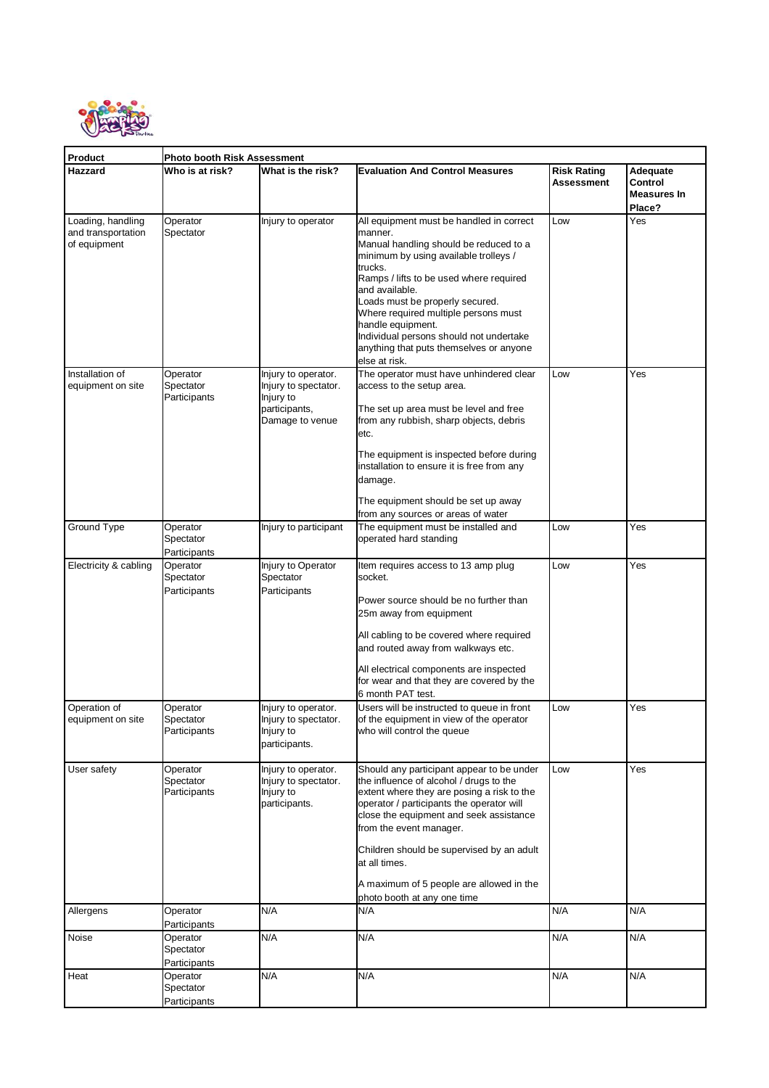

| Product                                                 | Photo booth Risk Assessment           |                                                                                              |                                                                                                                                                                                                                                                                                                                                                                                                                       |                                  |                                                     |  |  |  |
|---------------------------------------------------------|---------------------------------------|----------------------------------------------------------------------------------------------|-----------------------------------------------------------------------------------------------------------------------------------------------------------------------------------------------------------------------------------------------------------------------------------------------------------------------------------------------------------------------------------------------------------------------|----------------------------------|-----------------------------------------------------|--|--|--|
| Hazzard                                                 | Who is at risk?                       | What is the risk?                                                                            | <b>Evaluation And Control Measures</b>                                                                                                                                                                                                                                                                                                                                                                                | <b>Risk Rating</b><br>Assessment | Adequate<br>Control<br><b>Measures In</b><br>Place? |  |  |  |
| Loading, handling<br>and transportation<br>of equipment | Operator<br>Spectator                 | Injury to operator                                                                           | All equipment must be handled in correct<br>manner.<br>Manual handling should be reduced to a<br>minimum by using available trolleys /<br>trucks.<br>Ramps / lifts to be used where required<br>and available.<br>Loads must be properly secured.<br>Where required multiple persons must<br>handle equipment.<br>Individual persons should not undertake<br>anything that puts themselves or anyone<br>else at risk. | Low                              | Yes                                                 |  |  |  |
| Installation of<br>equipment on site                    | Operator<br>Spectator<br>Participants | Injury to operator.<br>Injury to spectator.<br>Injury to<br>participants,<br>Damage to venue | The operator must have unhindered clear<br>access to the setup area.<br>The set up area must be level and free<br>from any rubbish, sharp objects, debris<br>etc.<br>The equipment is inspected before during<br>installation to ensure it is free from any<br>damage.<br>The equipment should be set up away<br>from any sources or areas of water                                                                   | Low                              | Yes                                                 |  |  |  |
| Ground Type                                             | Operator<br>Spectator<br>Participants | Injury to participant                                                                        | The equipment must be installed and<br>operated hard standing                                                                                                                                                                                                                                                                                                                                                         | Low                              | Yes                                                 |  |  |  |
| Electricity & cabling                                   | Operator<br>Spectator<br>Participants | Injury to Operator<br>Spectator<br>Participants                                              | ltem requires access to 13 amp plug<br>socket.<br>Power source should be no further than<br>25m away from equipment<br>All cabling to be covered where required<br>and routed away from walkways etc.<br>All electrical components are inspected<br>for wear and that they are covered by the<br>6 month PAT test.                                                                                                    | Low                              | Yes                                                 |  |  |  |
| Operation of<br>equipment on site                       | Operator<br>Spectator<br>Participants | Injury to operator.<br>Injury to spectator.<br>Injury to<br>participants.                    | Users will be instructed to queue in front<br>of the equipment in view of the operator<br>who will control the queue                                                                                                                                                                                                                                                                                                  | Low                              | Yes                                                 |  |  |  |
| User safety                                             | Operator<br>Spectator<br>Participants | Injury to operator.<br>Injury to spectator.<br>Injury to<br>participants.                    | Should any participant appear to be under<br>the influence of alcohol / drugs to the<br>extent where they are posing a risk to the<br>operator / participants the operator will<br>close the equipment and seek assistance<br>from the event manager.<br>Children should be supervised by an adult<br>at all times.<br>A maximum of 5 people are allowed in the<br>photo booth at any one time                        | Low                              | Yes                                                 |  |  |  |
| Allergens                                               | Operator<br>Participants              | N/A                                                                                          | N/A                                                                                                                                                                                                                                                                                                                                                                                                                   | N/A                              | N/A                                                 |  |  |  |
| Noise                                                   | Operator<br>Spectator<br>Participants | N/A                                                                                          | N/A                                                                                                                                                                                                                                                                                                                                                                                                                   | N/A                              | N/A                                                 |  |  |  |
| Heat                                                    | Operator<br>Spectator<br>Participants | N/A                                                                                          | N/A                                                                                                                                                                                                                                                                                                                                                                                                                   | N/A                              | N/A                                                 |  |  |  |